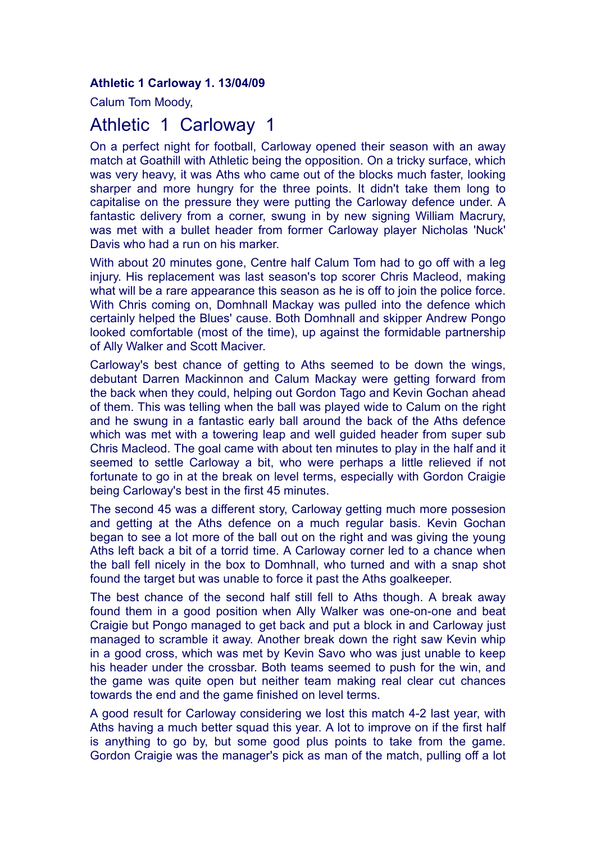**Athletic 1 Carloway 1. 13/04/09**

Calum Tom Moody,

## Athletic 1 Carloway 1

On a perfect night for football, Carloway opened their season with an away match at Goathill with Athletic being the opposition. On a tricky surface, which was very heavy, it was Aths who came out of the blocks much faster, looking sharper and more hungry for the three points. It didn't take them long to capitalise on the pressure they were putting the Carloway defence under. A fantastic delivery from a corner, swung in by new signing William Macrury, was met with a bullet header from former Carloway player Nicholas 'Nuck' Davis who had a run on his marker.

With about 20 minutes gone, Centre half Calum Tom had to go off with a leg injury. His replacement was last season's top scorer Chris Macleod, making what will be a rare appearance this season as he is off to join the police force. With Chris coming on, Domhnall Mackay was pulled into the defence which certainly helped the Blues' cause. Both Domhnall and skipper Andrew Pongo looked comfortable (most of the time), up against the formidable partnership of Ally Walker and Scott Maciver.

Carloway's best chance of getting to Aths seemed to be down the wings, debutant Darren Mackinnon and Calum Mackay were getting forward from the back when they could, helping out Gordon Tago and Kevin Gochan ahead of them. This was telling when the ball was played wide to Calum on the right and he swung in a fantastic early ball around the back of the Aths defence which was met with a towering leap and well guided header from super sub Chris Macleod. The goal came with about ten minutes to play in the half and it seemed to settle Carloway a bit, who were perhaps a little relieved if not fortunate to go in at the break on level terms, especially with Gordon Craigie being Carloway's best in the first 45 minutes.

The second 45 was a different story, Carloway getting much more possesion and getting at the Aths defence on a much regular basis. Kevin Gochan began to see a lot more of the ball out on the right and was giving the young Aths left back a bit of a torrid time. A Carloway corner led to a chance when the ball fell nicely in the box to Domhnall, who turned and with a snap shot found the target but was unable to force it past the Aths goalkeeper.

The best chance of the second half still fell to Aths though. A break away found them in a good position when Ally Walker was one-on-one and beat Craigie but Pongo managed to get back and put a block in and Carloway just managed to scramble it away. Another break down the right saw Kevin whip in a good cross, which was met by Kevin Savo who was just unable to keep his header under the crossbar. Both teams seemed to push for the win, and the game was quite open but neither team making real clear cut chances towards the end and the game finished on level terms.

A good result for Carloway considering we lost this match 4-2 last year, with Aths having a much better squad this year. A lot to improve on if the first half is anything to go by, but some good plus points to take from the game. Gordon Craigie was the manager's pick as man of the match, pulling off a lot